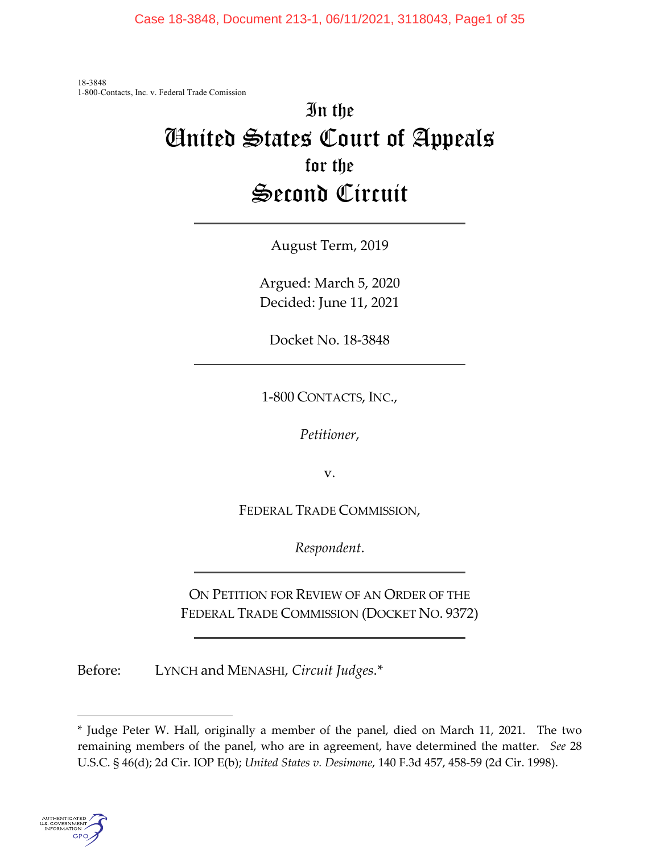Case 18-3848, Document 213-1, 06/11/2021, 3118043, Page1 of 35

18-3848 1-800-Contacts, Inc. v. Federal Trade Comission

# In the United States Court of Appeals for the Second Circuit

August Term, 2019

Argued: March 5, 2020 Decided: June 11, 2021

Docket No. 18-3848

1-800 CONTACTS, INC.,

*Petitioner*,

v.

FEDERAL TRADE COMMISSION,

*Respondent*.

ON PETITION FOR REVIEW OF AN ORDER OF THE FEDERAL TRADE COMMISSION (DOCKET NO. 9372)

Before: LYNCH and MENASHI, *Circuit Judges*.[\\*](#page-0-0)

<span id="page-0-0"></span><sup>\*</sup> Judge Peter W. Hall, originally a member of the panel, died on March 11, 2021. The two remaining members of the panel, who are in agreement, have determined the matter. *See* 28 U.S.C. § 46(d); 2d Cir. IOP E(b); *United States v. Desimone*, 140 F.3d 457, 458-59 (2d Cir. 1998).

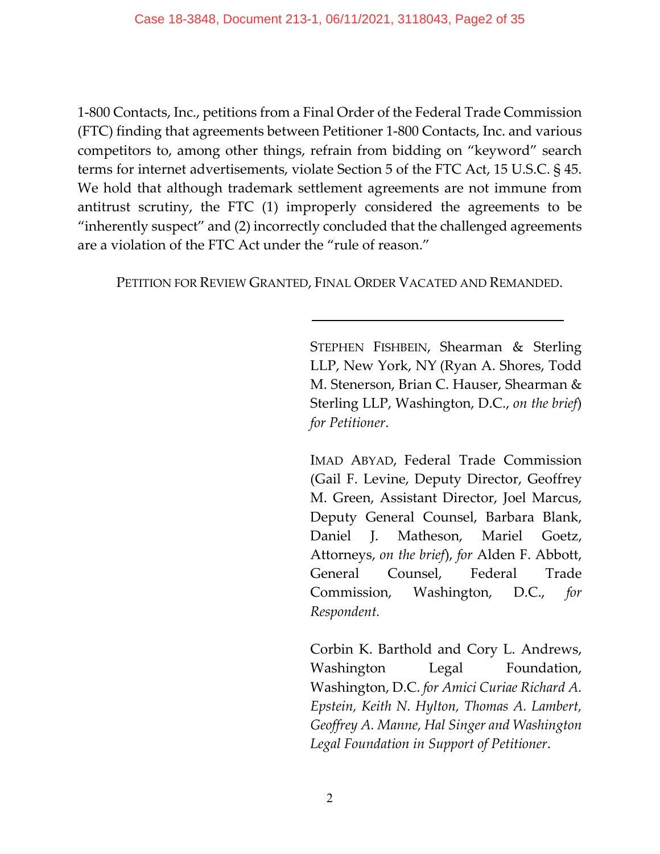1-800 Contacts, Inc., petitions from a Final Order of the Federal Trade Commission (FTC) finding that agreements between Petitioner 1-800 Contacts, Inc. and various competitors to, among other things, refrain from bidding on "keyword" search terms for internet advertisements, violate Section 5 of the FTC Act, 15 U.S.C. § 45. We hold that although trademark settlement agreements are not immune from antitrust scrutiny, the FTC (1) improperly considered the agreements to be "inherently suspect" and (2) incorrectly concluded that the challenged agreements are a violation of the FTC Act under the "rule of reason."

PETITION FOR REVIEW GRANTED, FINAL ORDER VACATED AND REMANDED.

STEPHEN FISHBEIN, Shearman & Sterling LLP, New York, NY (Ryan A. Shores, Todd M. Stenerson, Brian C. Hauser, Shearman & Sterling LLP, Washington, D.C., *on the brief*) *for Petitioner*.

IMAD ABYAD, Federal Trade Commission (Gail F. Levine, Deputy Director, Geoffrey M. Green, Assistant Director, Joel Marcus, Deputy General Counsel, Barbara Blank, Daniel J. Matheson, Mariel Goetz, Attorneys, *on the brief*), *for* Alden F. Abbott, General Counsel, Federal Trade Commission, Washington, D.C., *for Respondent.*

Corbin K. Barthold and Cory L. Andrews, Washington Legal Foundation, Washington, D.C. *for Amici Curiae Richard A. Epstein, Keith N. Hylton, Thomas A. Lambert, Geoffrey A. Manne, Hal Singer and Washington Legal Foundation in Support of Petitioner*.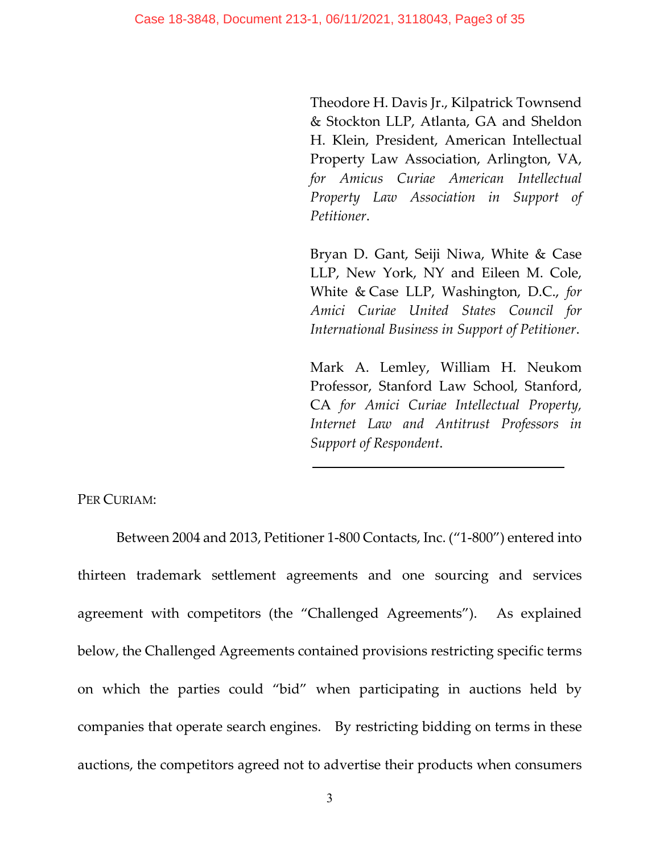Theodore H. Davis Jr., Kilpatrick Townsend & Stockton LLP, Atlanta, GA and Sheldon H. Klein, President, American Intellectual Property Law Association, Arlington, VA, *for Amicus Curiae American Intellectual Property Law Association in Support of Petitioner*.

Bryan D. Gant, Seiji Niwa, White & Case LLP, New York, NY and Eileen M. Cole, White & Case LLP, Washington, D.C., *for Amici Curiae United States Council for International Business in Support of Petitioner*.

Mark A. Lemley, William H. Neukom Professor, Stanford Law School, Stanford, CA *for Amici Curiae Intellectual Property, Internet Law and Antitrust Professors in Support of Respondent*.

PER CURIAM:

Between 2004 and 2013, Petitioner 1-800 Contacts, Inc. ("1-800") entered into thirteen trademark settlement agreements and one sourcing and services agreement with competitors (the "Challenged Agreements"). As explained below, the Challenged Agreements contained provisions restricting specific terms on which the parties could "bid" when participating in auctions held by companies that operate search engines. By restricting bidding on terms in these auctions, the competitors agreed not to advertise their products when consumers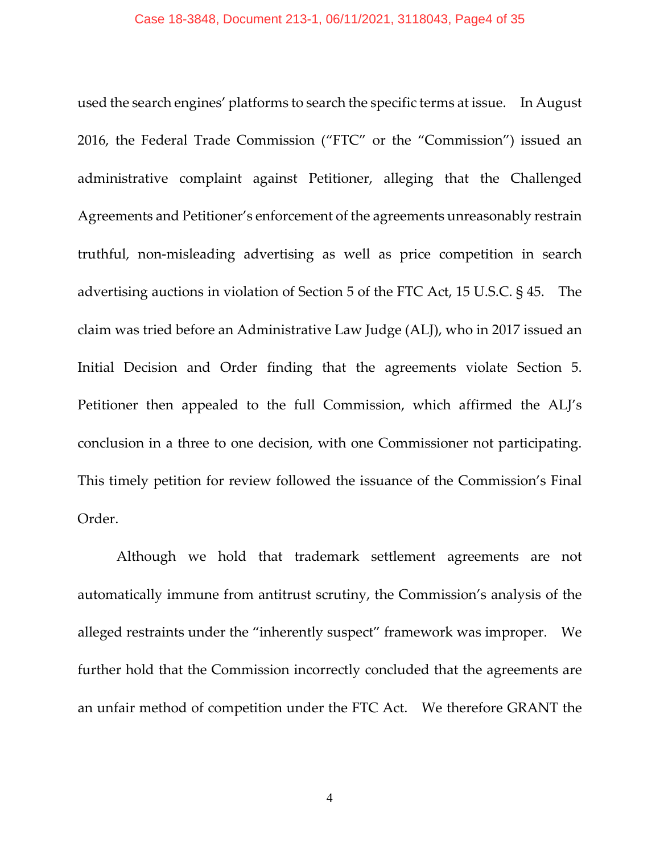used the search engines' platforms to search the specific terms at issue. In August 2016, the Federal Trade Commission ("FTC" or the "Commission") issued an administrative complaint against Petitioner, alleging that the Challenged Agreements and Petitioner's enforcement of the agreements unreasonably restrain truthful, non-misleading advertising as well as price competition in search advertising auctions in violation of Section 5 of the FTC Act, 15 U.S.C. § 45. The claim was tried before an Administrative Law Judge (ALJ), who in 2017 issued an Initial Decision and Order finding that the agreements violate Section 5. Petitioner then appealed to the full Commission, which affirmed the ALJ's conclusion in a three to one decision, with one Commissioner not participating. This timely petition for review followed the issuance of the Commission's Final Order.

Although we hold that trademark settlement agreements are not automatically immune from antitrust scrutiny, the Commission's analysis of the alleged restraints under the "inherently suspect" framework was improper. We further hold that the Commission incorrectly concluded that the agreements are an unfair method of competition under the FTC Act. We therefore GRANT the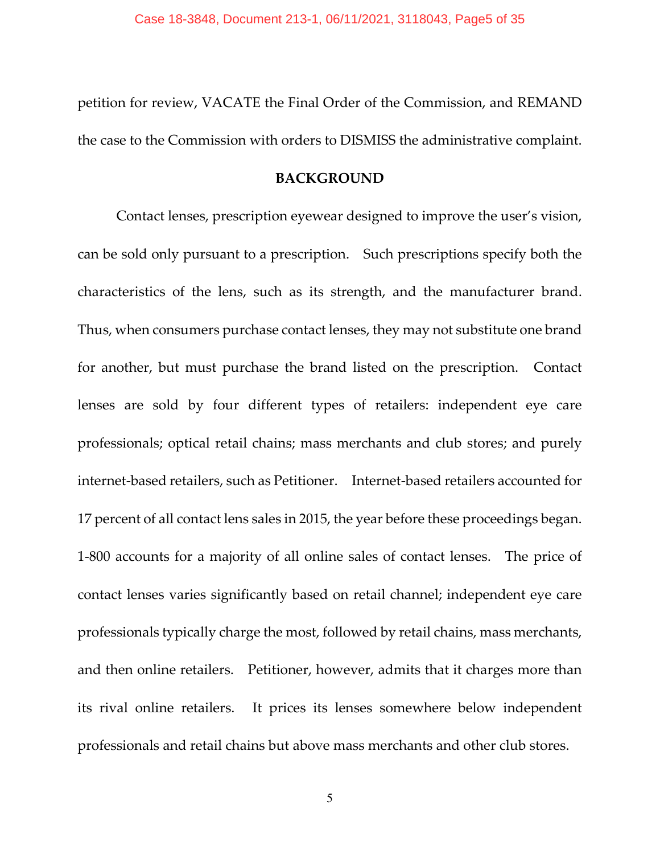petition for review, VACATE the Final Order of the Commission, and REMAND the case to the Commission with orders to DISMISS the administrative complaint.

# **BACKGROUND**

Contact lenses, prescription eyewear designed to improve the user's vision, can be sold only pursuant to a prescription. Such prescriptions specify both the characteristics of the lens, such as its strength, and the manufacturer brand. Thus, when consumers purchase contact lenses, they may not substitute one brand for another, but must purchase the brand listed on the prescription. Contact lenses are sold by four different types of retailers: independent eye care professionals; optical retail chains; mass merchants and club stores; and purely internet-based retailers, such as Petitioner. Internet-based retailers accounted for 17 percent of all contact lens sales in 2015, the year before these proceedings began. 1-800 accounts for a majority of all online sales of contact lenses. The price of contact lenses varies significantly based on retail channel; independent eye care professionals typically charge the most, followed by retail chains, mass merchants, and then online retailers. Petitioner, however, admits that it charges more than its rival online retailers. It prices its lenses somewhere below independent professionals and retail chains but above mass merchants and other club stores.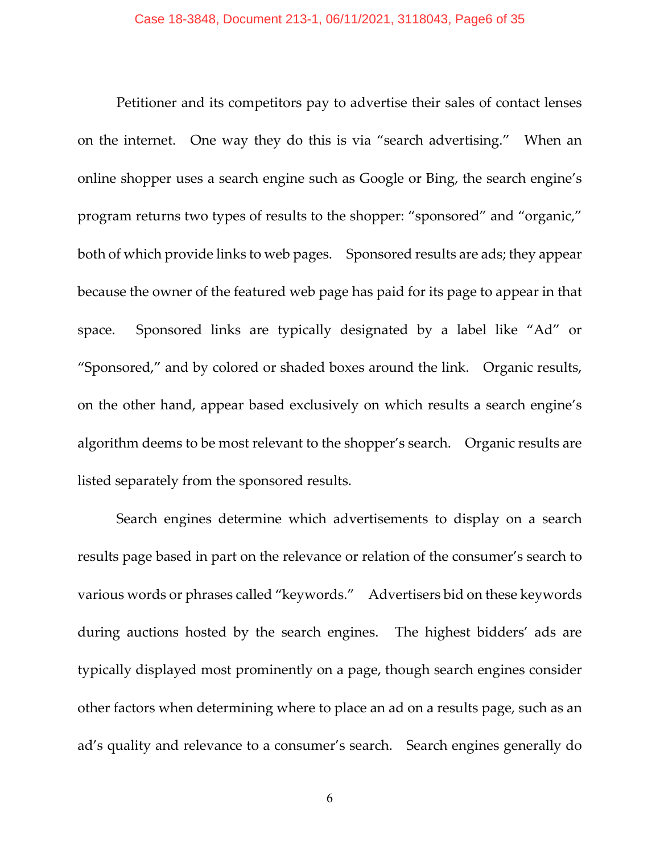Petitioner and its competitors pay to advertise their sales of contact lenses on the internet. One way they do this is via "search advertising." When an online shopper uses a search engine such as Google or Bing, the search engine's program returns two types of results to the shopper: "sponsored" and "organic," both of which provide links to web pages. Sponsored results are ads; they appear because the owner of the featured web page has paid for its page to appear in that space. Sponsored links are typically designated by a label like "Ad" or "Sponsored," and by colored or shaded boxes around the link. Organic results, on the other hand, appear based exclusively on which results a search engine's algorithm deems to be most relevant to the shopper's search. Organic results are listed separately from the sponsored results.

Search engines determine which advertisements to display on a search results page based in part on the relevance or relation of the consumer's search to various words or phrases called "keywords." Advertisers bid on these keywords during auctions hosted by the search engines. The highest bidders' ads are typically displayed most prominently on a page, though search engines consider other factors when determining where to place an ad on a results page, such as an ad's quality and relevance to a consumer's search. Search engines generally do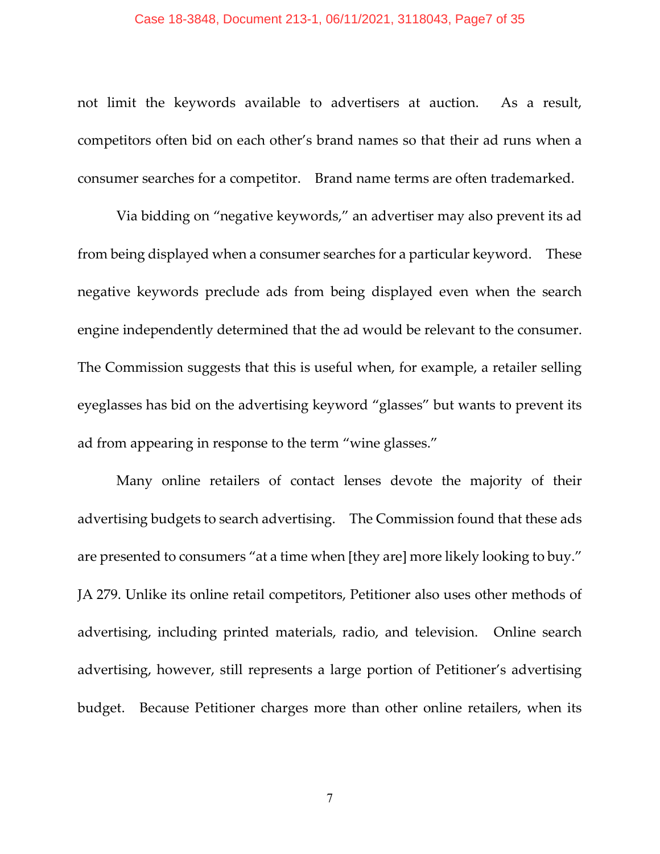#### Case 18-3848, Document 213-1, 06/11/2021, 3118043, Page7 of 35

not limit the keywords available to advertisers at auction. As a result, competitors often bid on each other's brand names so that their ad runs when a consumer searches for a competitor. Brand name terms are often trademarked.

Via bidding on "negative keywords," an advertiser may also prevent its ad from being displayed when a consumer searches for a particular keyword. These negative keywords preclude ads from being displayed even when the search engine independently determined that the ad would be relevant to the consumer. The Commission suggests that this is useful when, for example, a retailer selling eyeglasses has bid on the advertising keyword "glasses" but wants to prevent its ad from appearing in response to the term "wine glasses."

Many online retailers of contact lenses devote the majority of their advertising budgets to search advertising. The Commission found that these ads are presented to consumers "at a time when [they are] more likely looking to buy." JA 279. Unlike its online retail competitors, Petitioner also uses other methods of advertising, including printed materials, radio, and television. Online search advertising, however, still represents a large portion of Petitioner's advertising budget. Because Petitioner charges more than other online retailers, when its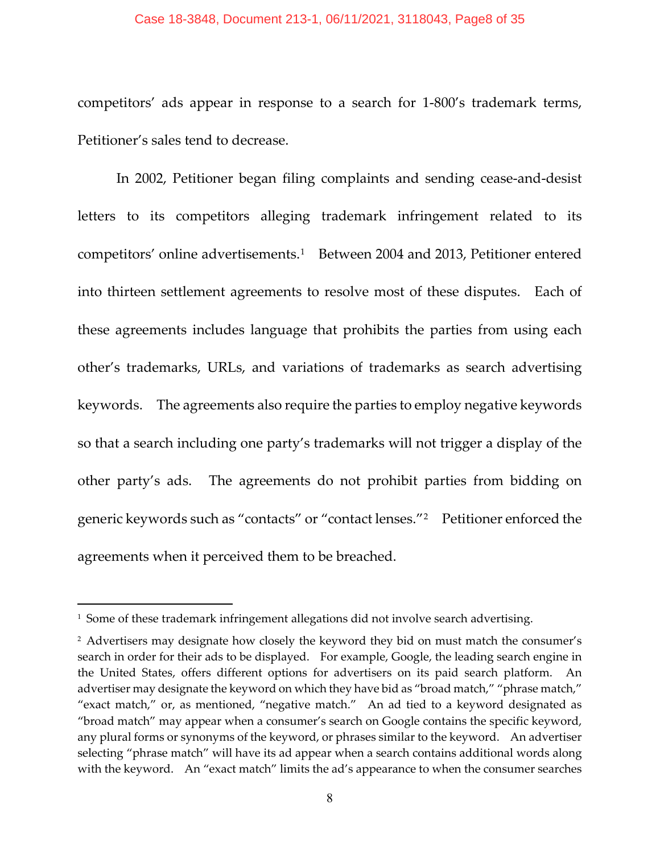#### Case 18-3848, Document 213-1, 06/11/2021, 3118043, Page8 of 35

competitors' ads appear in response to a search for 1-800's trademark terms, Petitioner's sales tend to decrease.

In 2002, Petitioner began filing complaints and sending cease-and-desist letters to its competitors alleging trademark infringement related to its competitors' online advertisements.[1](#page-7-0) Between 2004 and 2013, Petitioner entered into thirteen settlement agreements to resolve most of these disputes. Each of these agreements includes language that prohibits the parties from using each other's trademarks, URLs, and variations of trademarks as search advertising keywords. The agreements also require the parties to employ negative keywords so that a search including one party's trademarks will not trigger a display of the other party's ads. The agreements do not prohibit parties from bidding on generic keywords such as "contacts" or "contact lenses."[2](#page-7-1) Petitioner enforced the agreements when it perceived them to be breached.

<span id="page-7-0"></span><sup>&</sup>lt;sup>1</sup> Some of these trademark infringement allegations did not involve search advertising.

<span id="page-7-1"></span><sup>&</sup>lt;sup>2</sup> Advertisers may designate how closely the keyword they bid on must match the consumer's search in order for their ads to be displayed. For example, Google, the leading search engine in the United States, offers different options for advertisers on its paid search platform. An advertiser may designate the keyword on which they have bid as "broad match," "phrase match," "exact match," or, as mentioned, "negative match." An ad tied to a keyword designated as "broad match" may appear when a consumer's search on Google contains the specific keyword, any plural forms or synonyms of the keyword, or phrases similar to the keyword. An advertiser selecting "phrase match" will have its ad appear when a search contains additional words along with the keyword. An "exact match" limits the ad's appearance to when the consumer searches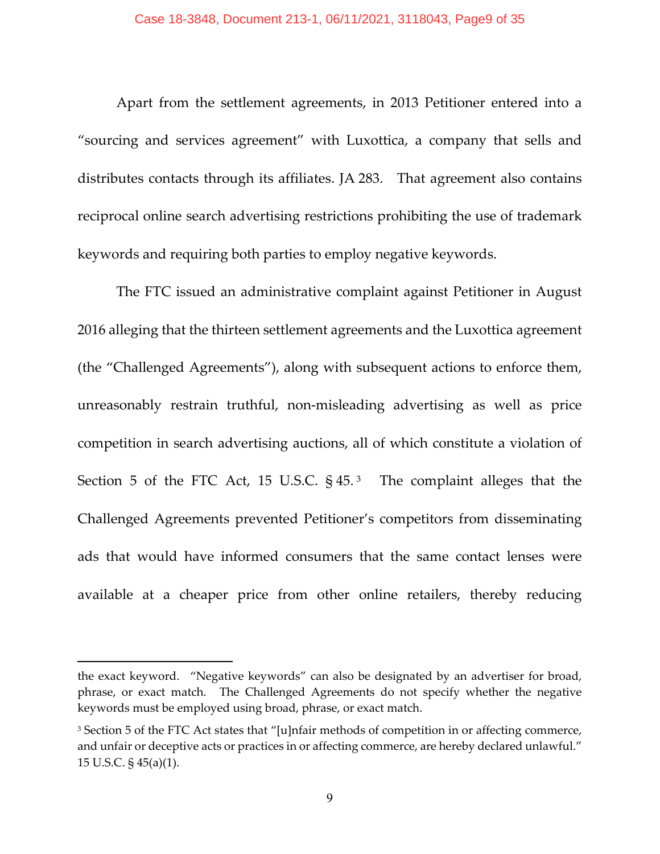Apart from the settlement agreements, in 2013 Petitioner entered into a "sourcing and services agreement" with Luxottica, a company that sells and distributes contacts through its affiliates. JA 283. That agreement also contains reciprocal online search advertising restrictions prohibiting the use of trademark keywords and requiring both parties to employ negative keywords.

The FTC issued an administrative complaint against Petitioner in August 2016 alleging that the thirteen settlement agreements and the Luxottica agreement (the "Challenged Agreements"), along with subsequent actions to enforce them, unreasonably restrain truthful, non-misleading advertising as well as price competition in search advertising auctions, all of which constitute a violation of Section 5 of the FTC Act, 15 U.S.C.  $\S 45<sup>3</sup>$  $\S 45<sup>3</sup>$  $\S 45<sup>3</sup>$  The complaint alleges that the Challenged Agreements prevented Petitioner's competitors from disseminating ads that would have informed consumers that the same contact lenses were available at a cheaper price from other online retailers, thereby reducing

the exact keyword. "Negative keywords" can also be designated by an advertiser for broad, phrase, or exact match. The Challenged Agreements do not specify whether the negative keywords must be employed using broad, phrase, or exact match.

<span id="page-8-0"></span><sup>&</sup>lt;sup>3</sup> Section 5 of the FTC Act states that "[u]nfair methods of competition in or affecting commerce, and unfair or deceptive acts or practices in or affecting commerce, are hereby declared unlawful." 15 U.S.C. § 45(a)(1).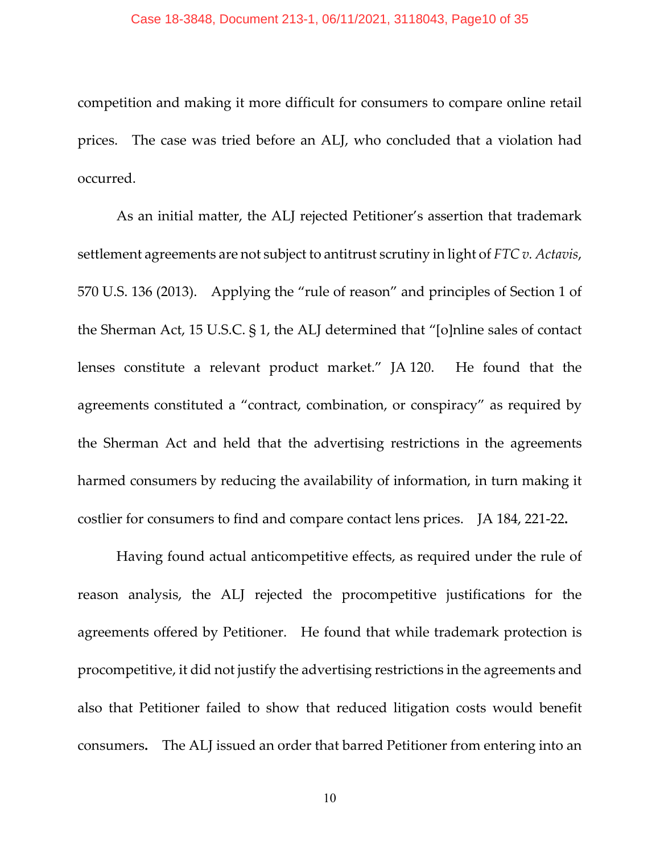competition and making it more difficult for consumers to compare online retail prices. The case was tried before an ALJ, who concluded that a violation had occurred.

As an initial matter, the ALJ rejected Petitioner's assertion that trademark settlement agreements are not subject to antitrust scrutiny in light of *FTC v. Actavis*, 570 U.S. 136 (2013). Applying the "rule of reason" and principles of Section 1 of the Sherman Act, 15 U.S.C. § 1, the ALJ determined that "[o]nline sales of contact lenses constitute a relevant product market." JA 120. He found that the agreements constituted a "contract, combination, or conspiracy" as required by the Sherman Act and held that the advertising restrictions in the agreements harmed consumers by reducing the availability of information, in turn making it costlier for consumers to find and compare contact lens prices. JA 184, 221-22**.**

Having found actual anticompetitive effects, as required under the rule of reason analysis, the ALJ rejected the procompetitive justifications for the agreements offered by Petitioner. He found that while trademark protection is procompetitive, it did not justify the advertising restrictions in the agreements and also that Petitioner failed to show that reduced litigation costs would benefit consumers**.** The ALJ issued an order that barred Petitioner from entering into an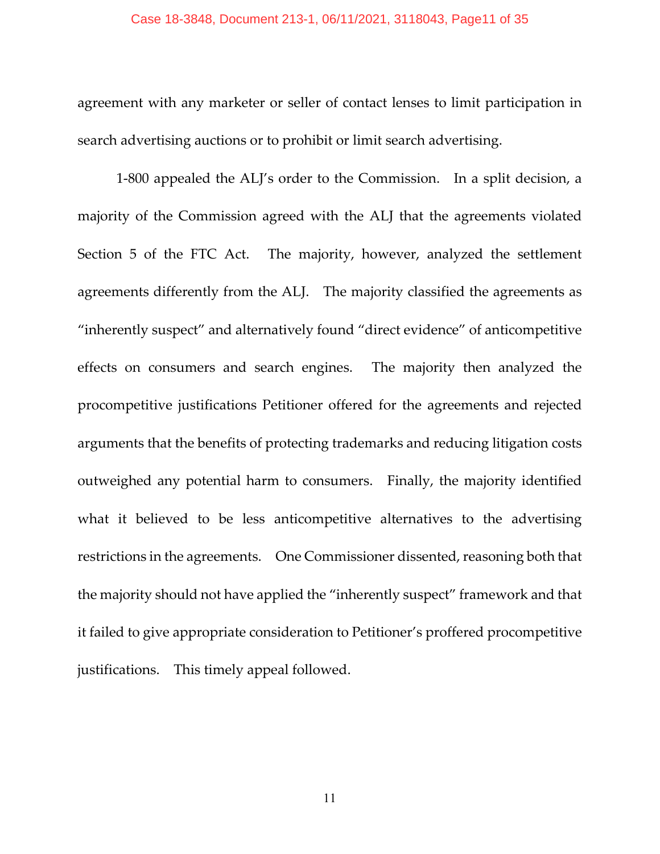#### Case 18-3848, Document 213-1, 06/11/2021, 3118043, Page11 of 35

agreement with any marketer or seller of contact lenses to limit participation in search advertising auctions or to prohibit or limit search advertising.

1-800 appealed the ALJ's order to the Commission. In a split decision, a majority of the Commission agreed with the ALJ that the agreements violated Section 5 of the FTC Act. The majority, however, analyzed the settlement agreements differently from the ALJ. The majority classified the agreements as "inherently suspect" and alternatively found "direct evidence" of anticompetitive effects on consumers and search engines. The majority then analyzed the procompetitive justifications Petitioner offered for the agreements and rejected arguments that the benefits of protecting trademarks and reducing litigation costs outweighed any potential harm to consumers. Finally, the majority identified what it believed to be less anticompetitive alternatives to the advertising restrictions in the agreements. One Commissioner dissented, reasoning both that the majority should not have applied the "inherently suspect" framework and that it failed to give appropriate consideration to Petitioner's proffered procompetitive justifications. This timely appeal followed.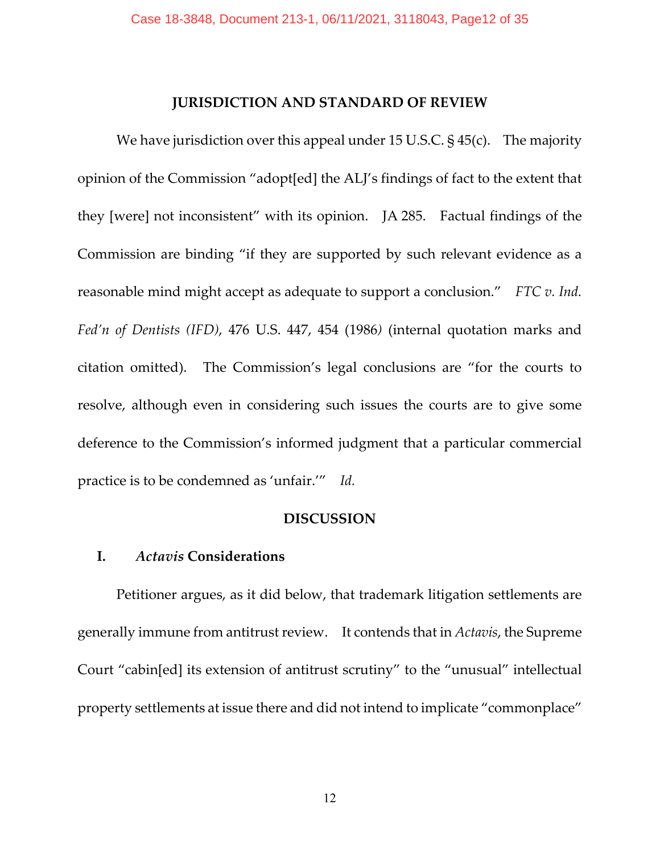## **JURISDICTION AND STANDARD OF REVIEW**

We have jurisdiction over this appeal under 15 U.S.C. § 45(c). The majority opinion of the Commission "adopt[ed] the ALJ's findings of fact to the extent that they [were] not inconsistent" with its opinion. JA 285. Factual findings of the Commission are binding "if they are supported by such relevant evidence as a reasonable mind might accept as adequate to support a conclusion." *FTC v. Ind. Fed'n of Dentists (IFD)*, 476 U.S. 447, 454 (1986*)* (internal quotation marks and citation omitted). The Commission's legal conclusions are "for the courts to resolve, although even in considering such issues the courts are to give some deference to the Commission's informed judgment that a particular commercial practice is to be condemned as 'unfair.'" *Id.*

## **DISCUSSION**

## **I.** *Actavis* **Considerations**

Petitioner argues, as it did below, that trademark litigation settlements are generally immune from antitrust review. It contends that in *Actavis*, the Supreme Court "cabin[ed] its extension of antitrust scrutiny" to the "unusual" intellectual property settlements at issue there and did not intend to implicate "commonplace"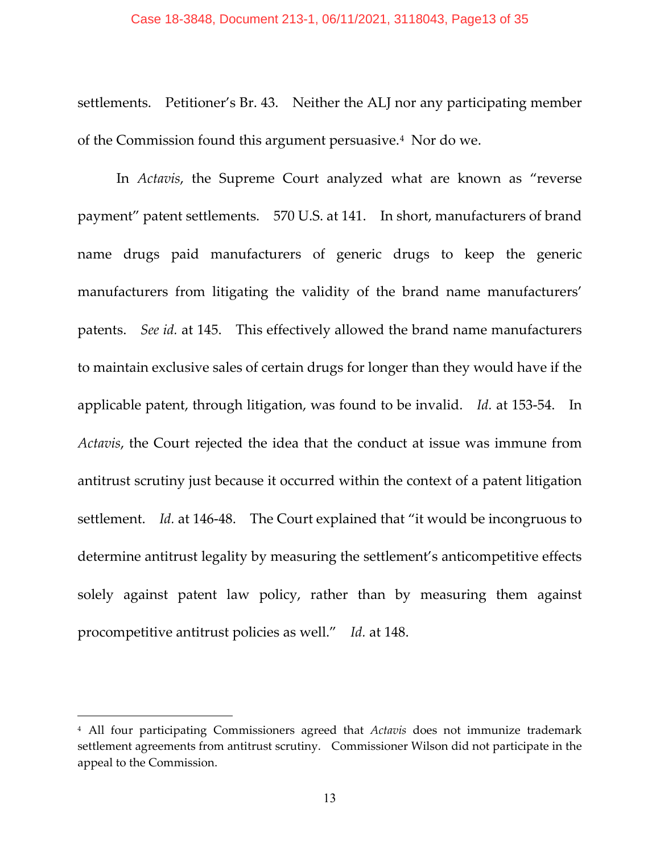#### Case 18-3848, Document 213-1, 06/11/2021, 3118043, Page13 of 35

settlements. Petitioner's Br. 43. Neither the ALJ nor any participating member of the Commission found this argument persuasive.[4](#page-12-0) Nor do we.

In *Actavis*, the Supreme Court analyzed what are known as "reverse payment" patent settlements. 570 U.S. at 141. In short, manufacturers of brand name drugs paid manufacturers of generic drugs to keep the generic manufacturers from litigating the validity of the brand name manufacturers' patents. *See id.* at 145. This effectively allowed the brand name manufacturers to maintain exclusive sales of certain drugs for longer than they would have if the applicable patent, through litigation, was found to be invalid. *Id.* at 153-54. In *Actavis*, the Court rejected the idea that the conduct at issue was immune from antitrust scrutiny just because it occurred within the context of a patent litigation settlement. *Id.* at 146-48. The Court explained that "it would be incongruous to determine antitrust legality by measuring the settlement's anticompetitive effects solely against patent law policy, rather than by measuring them against procompetitive antitrust policies as well." *Id.* at 148.

<span id="page-12-0"></span><sup>4</sup> All four participating Commissioners agreed that *Actavis* does not immunize trademark settlement agreements from antitrust scrutiny. Commissioner Wilson did not participate in the appeal to the Commission.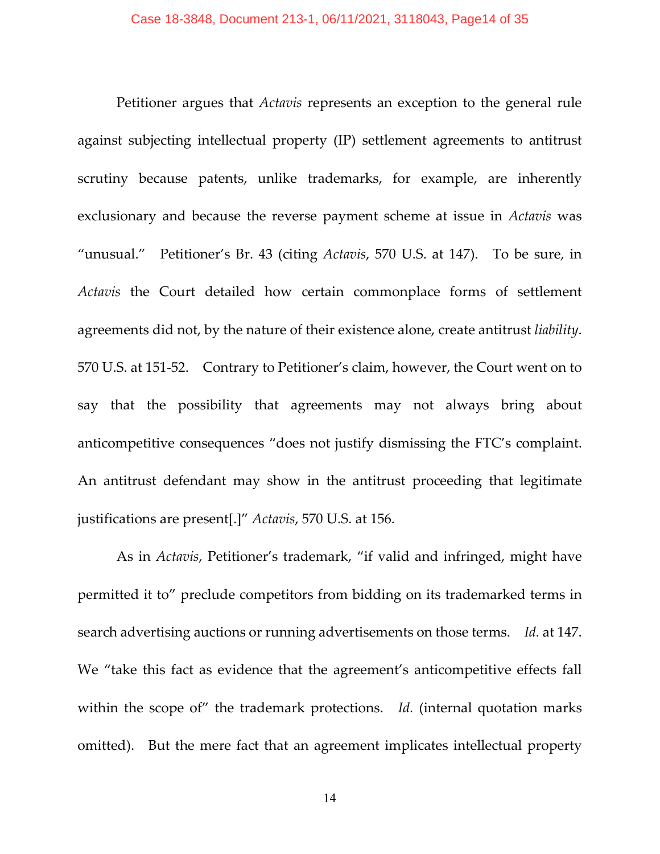Petitioner argues that *Actavis* represents an exception to the general rule against subjecting intellectual property (IP) settlement agreements to antitrust scrutiny because patents, unlike trademarks, for example, are inherently exclusionary and because the reverse payment scheme at issue in *Actavis* was "unusual." Petitioner's Br. 43 (citing *Actavis*, 570 U.S. at 147). To be sure, in *Actavis* the Court detailed how certain commonplace forms of settlement agreements did not, by the nature of their existence alone, create antitrust *liability*. 570 U.S. at 151-52. Contrary to Petitioner's claim, however, the Court went on to say that the possibility that agreements may not always bring about anticompetitive consequences "does not justify dismissing the FTC's complaint. An antitrust defendant may show in the antitrust proceeding that legitimate justifications are present[.]" *Actavis*, 570 U.S. at 156.

As in *Actavis*, Petitioner's trademark, "if valid and infringed, might have permitted it to" preclude competitors from bidding on its trademarked terms in search advertising auctions or running advertisements on those terms. *Id.* at 147. We "take this fact as evidence that the agreement's anticompetitive effects fall within the scope of" the trademark protections. *Id.* (internal quotation marks omitted). But the mere fact that an agreement implicates intellectual property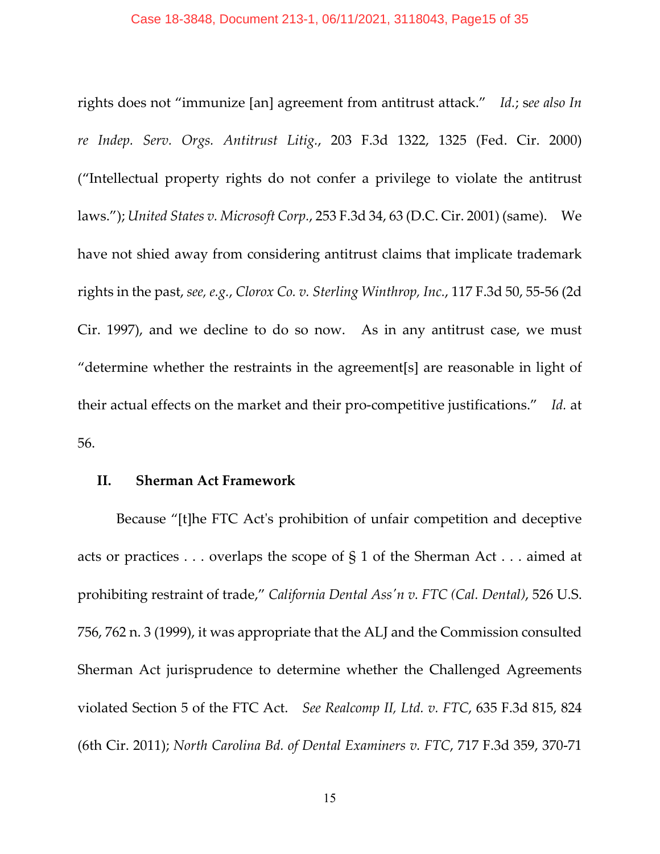rights does not "immunize [an] agreement from antitrust attack." *Id.*; s*ee also In re Indep. Serv. Orgs. Antitrust Litig.*, 203 F.3d 1322, 1325 (Fed. Cir. 2000) ("Intellectual property rights do not confer a privilege to violate the antitrust laws."); *United States v. Microsoft Corp.*, 253 F.3d 34, 63 (D.C. Cir. 2001) (same). We have not shied away from considering antitrust claims that implicate trademark rights in the past, *see, e.g.*, *Clorox Co. v. Sterling Winthrop, Inc.*, 117 F.3d 50, 55-56 (2d Cir. 1997), and we decline to do so now. As in any antitrust case, we must "determine whether the restraints in the agreement[s] are reasonable in light of their actual effects on the market and their pro-competitive justifications." *Id.* at 56.

# **II. Sherman Act Framework**

Because "[t]he FTC Act's prohibition of unfair competition and deceptive acts or practices . . . overlaps the scope of § 1 of the Sherman Act . . . aimed at prohibiting restraint of trade," *California Dental Ass'n v. FTC (Cal. Dental)*, 526 U.S. 756, 762 n. 3 (1999), it was appropriate that the ALJ and the Commission consulted Sherman Act jurisprudence to determine whether the Challenged Agreements violated Section 5 of the FTC Act. *See Realcomp II, Ltd. v. FTC*, 635 F.3d 815, 824 (6th Cir. 2011); *North Carolina Bd. of Dental Examiners v. FTC*, 717 F.3d 359, 370-71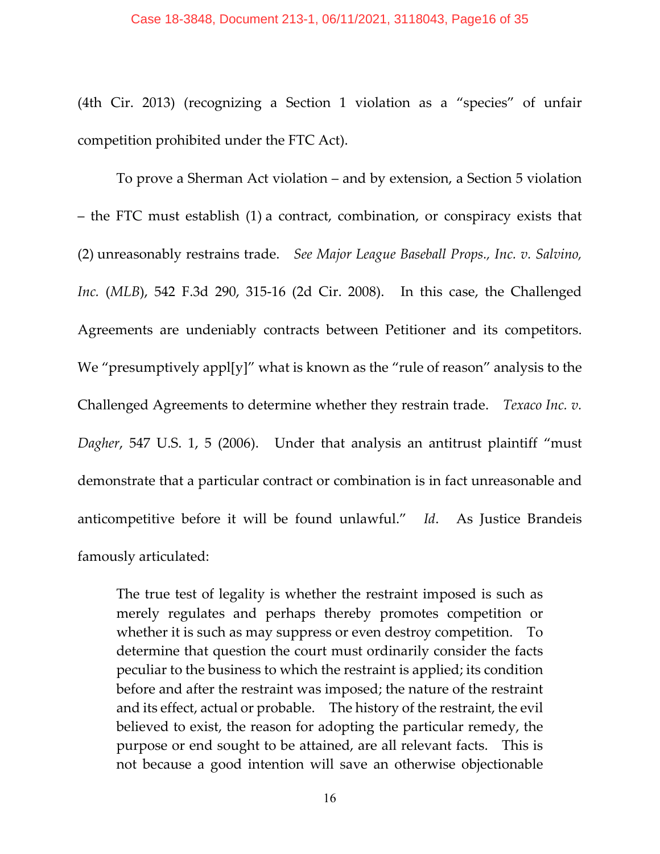#### Case 18-3848, Document 213-1, 06/11/2021, 3118043, Page16 of 35

(4th Cir. 2013) (recognizing a Section 1 violation as a "species" of unfair competition prohibited under the FTC Act).

To prove a Sherman Act violation – and by extension, a Section 5 violation – the FTC must establish (1) a contract, combination, or conspiracy exists that (2) unreasonably restrains trade. *See Major League Baseball Props., Inc. v. Salvino, Inc.* (*MLB*), 542 F.3d 290, 315-16 (2d Cir. 2008). In this case, the Challenged Agreements are undeniably contracts between Petitioner and its competitors. We "presumptively appl[y]" what is known as the "rule of reason" analysis to the Challenged Agreements to determine whether they restrain trade. *Texaco Inc. v. Dagher*, 547 U.S. 1, 5 (2006). Under that analysis an antitrust plaintiff "must demonstrate that a particular contract or combination is in fact unreasonable and anticompetitive before it will be found unlawful." *Id*. As Justice Brandeis famously articulated:

The true test of legality is whether the restraint imposed is such as merely regulates and perhaps thereby promotes competition or whether it is such as may suppress or even destroy competition. To determine that question the court must ordinarily consider the facts peculiar to the business to which the restraint is applied; its condition before and after the restraint was imposed; the nature of the restraint and its effect, actual or probable. The history of the restraint, the evil believed to exist, the reason for adopting the particular remedy, the purpose or end sought to be attained, are all relevant facts. This is not because a good intention will save an otherwise objectionable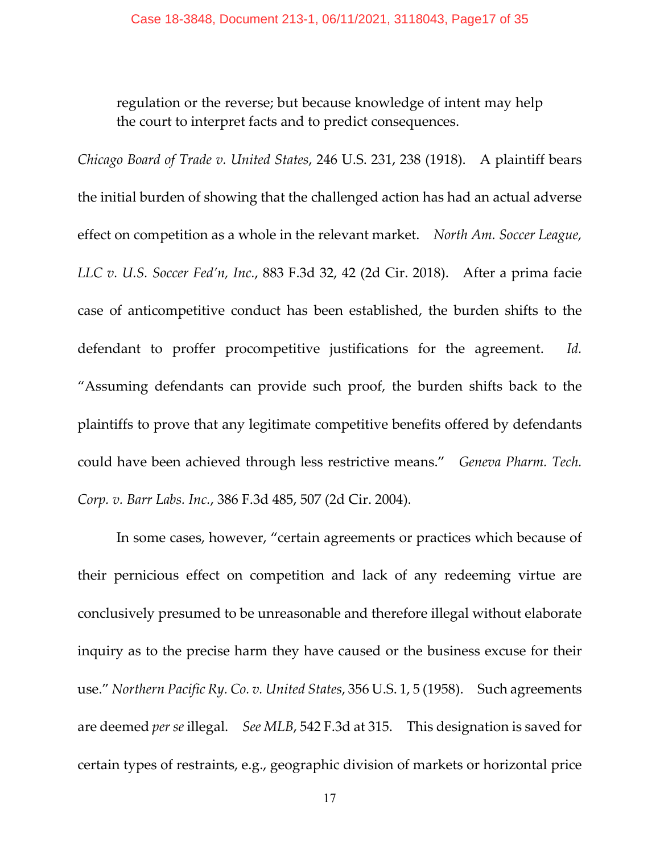regulation or the reverse; but because knowledge of intent may help the court to interpret facts and to predict consequences.

*Chicago Board of Trade v. United States*, 246 U.S. 231, 238 (1918). A plaintiff bears the initial burden of showing that the challenged action has had an actual adverse effect on competition as a whole in the relevant market. *North Am. Soccer League, LLC v. U.S. Soccer Fed'n, Inc.*, 883 F.3d 32, 42 (2d Cir. 2018). After a prima facie case of anticompetitive conduct has been established, the burden shifts to the defendant to proffer procompetitive justifications for the agreement. *Id.* "Assuming defendants can provide such proof, the burden shifts back to the plaintiffs to prove that any legitimate competitive benefits offered by defendants could have been achieved through less restrictive means." *Geneva Pharm. Tech. Corp. v. Barr Labs. Inc.*, 386 F.3d 485, 507 (2d Cir. 2004).

In some cases, however, "certain agreements or practices which because of their pernicious effect on competition and lack of any redeeming virtue are conclusively presumed to be unreasonable and therefore illegal without elaborate inquiry as to the precise harm they have caused or the business excuse for their use." *Northern Pacific Ry. Co. v. United States*, 356 U.S. 1, 5 (1958). Such agreements are deemed *per se* illegal. *See MLB*, 542 F.3d at 315. This designation is saved for certain types of restraints, e.g., geographic division of markets or horizontal price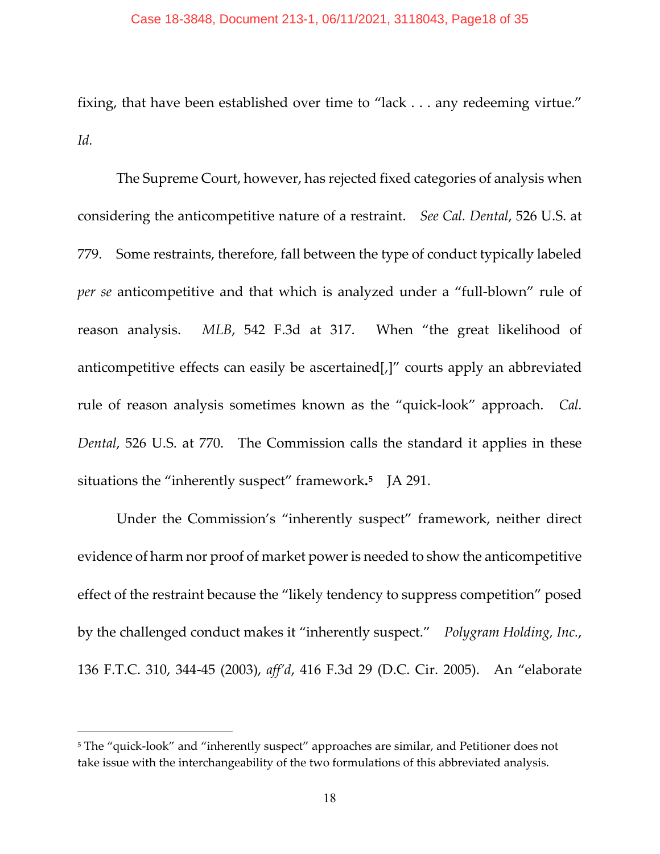#### Case 18-3848, Document 213-1, 06/11/2021, 3118043, Page18 of 35

fixing, that have been established over time to "lack . . . any redeeming virtue." *Id.*

The Supreme Court, however, has rejected fixed categories of analysis when considering the anticompetitive nature of a restraint. *See Cal. Dental*, 526 U.S. at 779. Some restraints, therefore, fall between the type of conduct typically labeled *per se* anticompetitive and that which is analyzed under a "full-blown" rule of reason analysis. *MLB*, 542 F.3d at 317. When "the great likelihood of anticompetitive effects can easily be ascertained[,]" courts apply an abbreviated rule of reason analysis sometimes known as the "quick-look" approach. *Cal. Dental*, 526 U.S. at 770. The Commission calls the standard it applies in these situations the "inherently suspect" framework**.[5](#page-17-0)** JA 291.

Under the Commission's "inherently suspect" framework, neither direct evidence of harm nor proof of market power is needed to show the anticompetitive effect of the restraint because the "likely tendency to suppress competition" posed by the challenged conduct makes it "inherently suspect." *Polygram Holding, Inc.*, 136 F.T.C. 310, 344-45 (2003), *aff'd*, 416 F.3d 29 (D.C. Cir. 2005). An "elaborate

<span id="page-17-0"></span><sup>5</sup> The "quick-look" and "inherently suspect" approaches are similar, and Petitioner does not take issue with the interchangeability of the two formulations of this abbreviated analysis.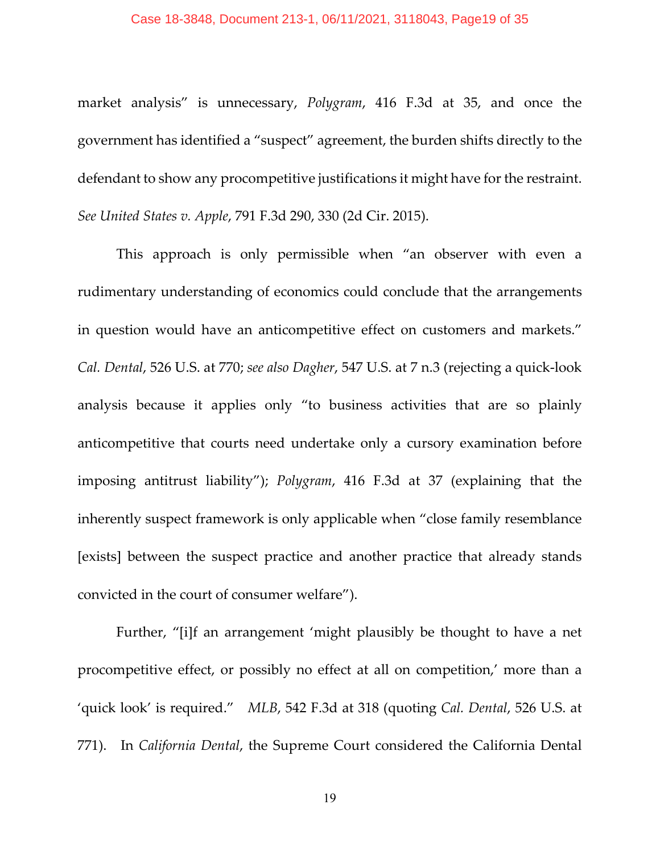#### Case 18-3848, Document 213-1, 06/11/2021, 3118043, Page19 of 35

market analysis" is unnecessary, *Polygram*, 416 F.3d at 35, and once the government has identified a "suspect" agreement, the burden shifts directly to the defendant to show any procompetitive justifications it might have for the restraint. *See United States v. Apple*, 791 F.3d 290, 330 (2d Cir. 2015).

This approach is only permissible when "an observer with even a rudimentary understanding of economics could conclude that the arrangements in question would have an anticompetitive effect on customers and markets." *Cal. Dental*, 526 U.S. at 770; *see also Dagher*, 547 U.S. at 7 n.3 (rejecting a quick-look analysis because it applies only "to business activities that are so plainly anticompetitive that courts need undertake only a cursory examination before imposing antitrust liability"); *Polygram*, 416 F.3d at 37 (explaining that the inherently suspect framework is only applicable when "close family resemblance [exists] between the suspect practice and another practice that already stands convicted in the court of consumer welfare").

Further, "[i]f an arrangement 'might plausibly be thought to have a net procompetitive effect, or possibly no effect at all on competition,' more than a 'quick look' is required." *MLB*, 542 F.3d at 318 (quoting *Cal. Dental*, 526 U.S. at 771). In *California Dental*, the Supreme Court considered the California Dental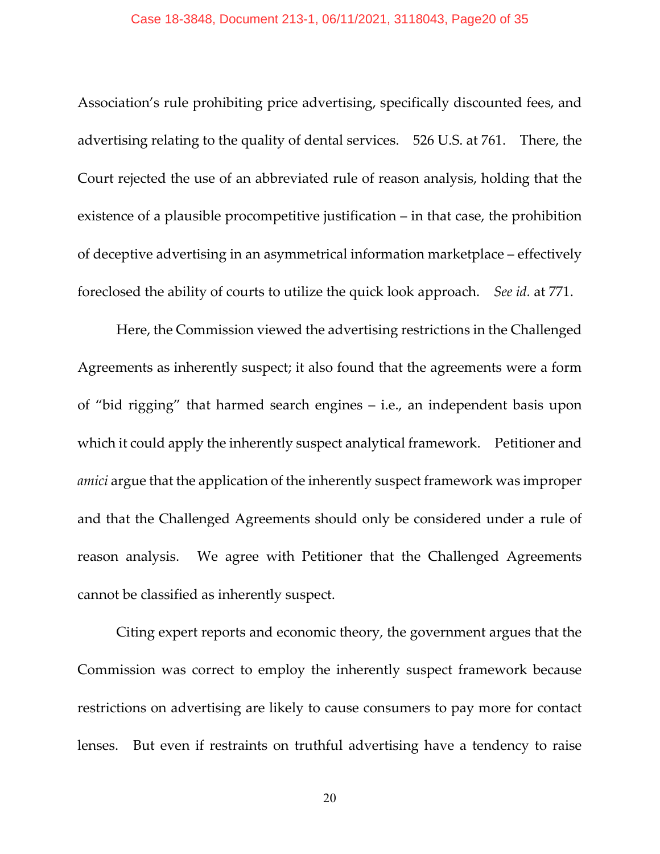#### Case 18-3848, Document 213-1, 06/11/2021, 3118043, Page20 of 35

Association's rule prohibiting price advertising, specifically discounted fees, and advertising relating to the quality of dental services. 526 U.S. at 761. There, the Court rejected the use of an abbreviated rule of reason analysis, holding that the existence of a plausible procompetitive justification – in that case, the prohibition of deceptive advertising in an asymmetrical information marketplace – effectively foreclosed the ability of courts to utilize the quick look approach. *See id.* at 771.

Here, the Commission viewed the advertising restrictions in the Challenged Agreements as inherently suspect; it also found that the agreements were a form of "bid rigging" that harmed search engines – i.e., an independent basis upon which it could apply the inherently suspect analytical framework. Petitioner and *amici* argue that the application of the inherently suspect framework was improper and that the Challenged Agreements should only be considered under a rule of reason analysis. We agree with Petitioner that the Challenged Agreements cannot be classified as inherently suspect.

Citing expert reports and economic theory, the government argues that the Commission was correct to employ the inherently suspect framework because restrictions on advertising are likely to cause consumers to pay more for contact lenses. But even if restraints on truthful advertising have a tendency to raise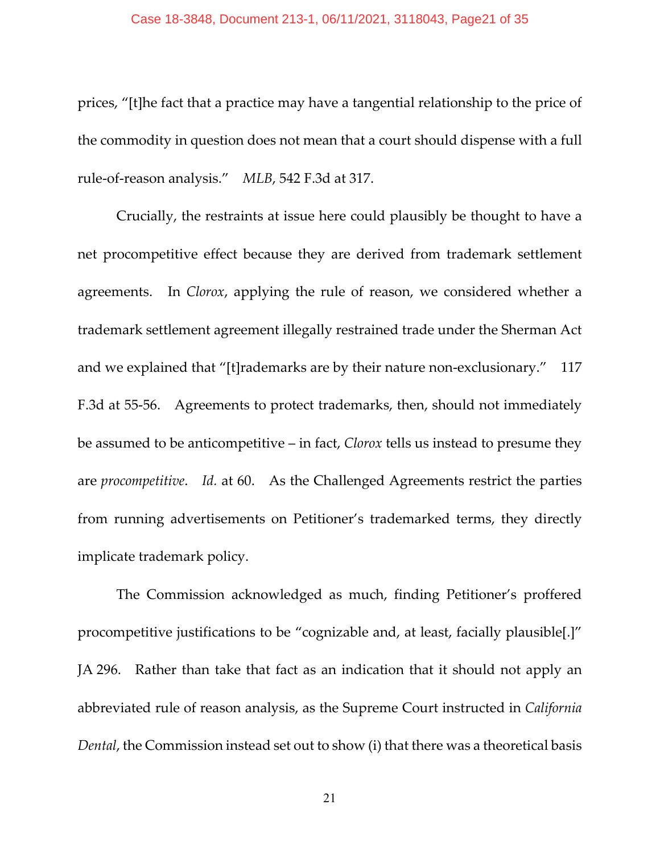#### Case 18-3848, Document 213-1, 06/11/2021, 3118043, Page21 of 35

prices, "[t]he fact that a practice may have a tangential relationship to the price of the commodity in question does not mean that a court should dispense with a full rule-of-reason analysis." *MLB*, 542 F.3d at 317.

Crucially, the restraints at issue here could plausibly be thought to have a net procompetitive effect because they are derived from trademark settlement agreements. In *Clorox*, applying the rule of reason, we considered whether a trademark settlement agreement illegally restrained trade under the Sherman Act and we explained that "[t]rademarks are by their nature non-exclusionary." 117 F.3d at 55-56. Agreements to protect trademarks, then, should not immediately be assumed to be anticompetitive – in fact, *Clorox* tells us instead to presume they are *procompetitive*. *Id.* at 60. As the Challenged Agreements restrict the parties from running advertisements on Petitioner's trademarked terms, they directly implicate trademark policy.

The Commission acknowledged as much, finding Petitioner's proffered procompetitive justifications to be "cognizable and, at least, facially plausible[.]" JA 296. Rather than take that fact as an indication that it should not apply an abbreviated rule of reason analysis, as the Supreme Court instructed in *California Dental*, the Commission instead set out to show (i) that there was a theoretical basis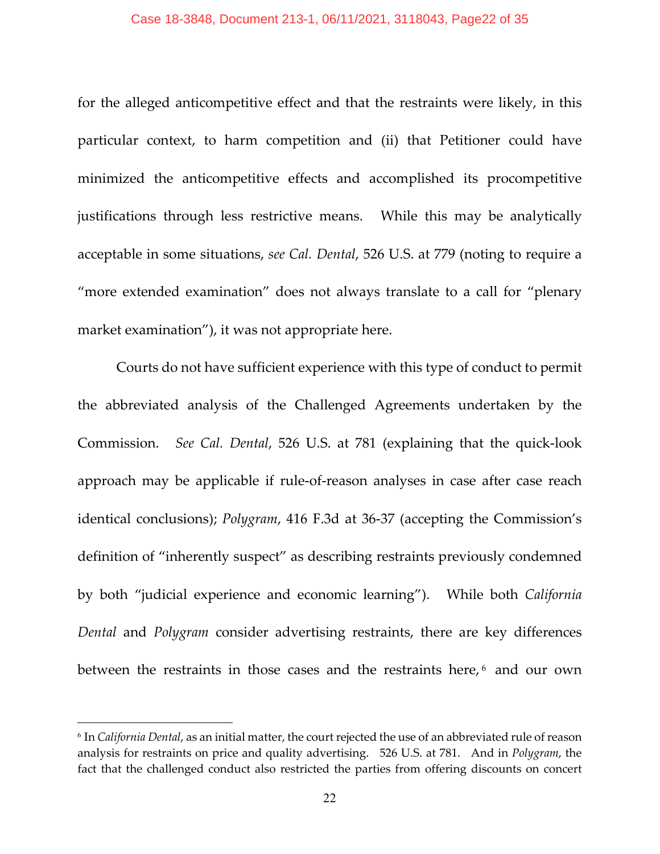for the alleged anticompetitive effect and that the restraints were likely, in this particular context, to harm competition and (ii) that Petitioner could have minimized the anticompetitive effects and accomplished its procompetitive justifications through less restrictive means. While this may be analytically acceptable in some situations, *see Cal. Dental*, 526 U.S. at 779 (noting to require a "more extended examination" does not always translate to a call for "plenary market examination"), it was not appropriate here.

Courts do not have sufficient experience with this type of conduct to permit the abbreviated analysis of the Challenged Agreements undertaken by the Commission. *See Cal. Dental*, 526 U.S. at 781 (explaining that the quick-look approach may be applicable if rule-of-reason analyses in case after case reach identical conclusions); *Polygram*, 416 F.3d at 36-37 (accepting the Commission's definition of "inherently suspect" as describing restraints previously condemned by both "judicial experience and economic learning"). While both *California Dental* and *Polygram* consider advertising restraints, there are key differences between the restraints in those cases and the restraints here,<sup>[6](#page-21-0)</sup> and our own

<span id="page-21-0"></span><sup>6</sup> In *California Dental*, as an initial matter, the court rejected the use of an abbreviated rule of reason analysis for restraints on price and quality advertising. 526 U.S. at 781. And in *Polygram*, the fact that the challenged conduct also restricted the parties from offering discounts on concert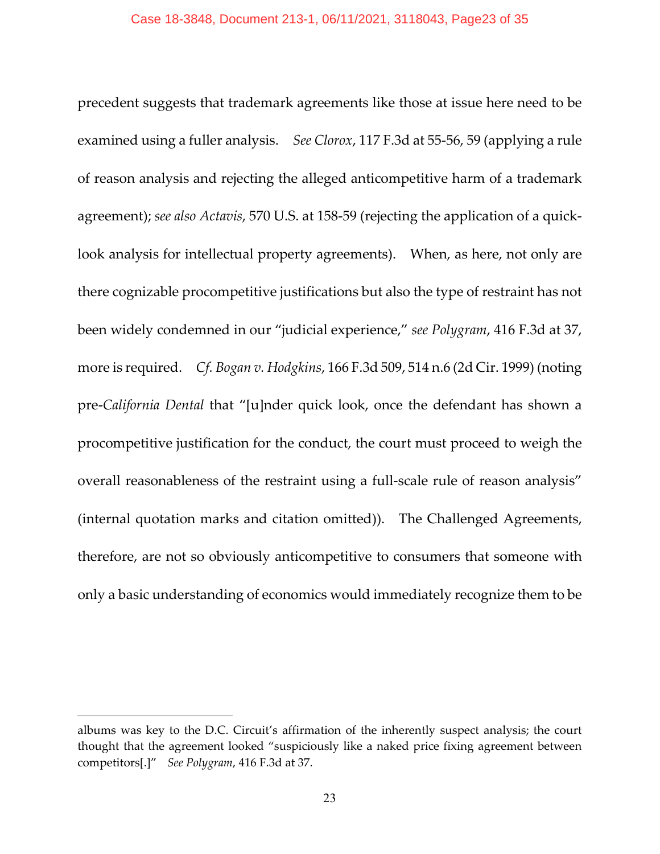precedent suggests that trademark agreements like those at issue here need to be examined using a fuller analysis. *See Clorox*, 117 F.3d at 55-56, 59 (applying a rule of reason analysis and rejecting the alleged anticompetitive harm of a trademark agreement); *see also Actavis*, 570 U.S. at 158-59 (rejecting the application of a quicklook analysis for intellectual property agreements). When, as here, not only are there cognizable procompetitive justifications but also the type of restraint has not been widely condemned in our "judicial experience," *see Polygram*, 416 F.3d at 37, more is required. *Cf. Bogan v. Hodgkins*, 166 F.3d 509, 514 n.6 (2d Cir. 1999) (noting pre-*California Dental* that "[u]nder quick look, once the defendant has shown a procompetitive justification for the conduct, the court must proceed to weigh the overall reasonableness of the restraint using a full-scale rule of reason analysis" (internal quotation marks and citation omitted)). The Challenged Agreements, therefore, are not so obviously anticompetitive to consumers that someone with only a basic understanding of economics would immediately recognize them to be

albums was key to the D.C. Circuit's affirmation of the inherently suspect analysis; the court thought that the agreement looked "suspiciously like a naked price fixing agreement between competitors[.]" *See Polygram*, 416 F.3d at 37.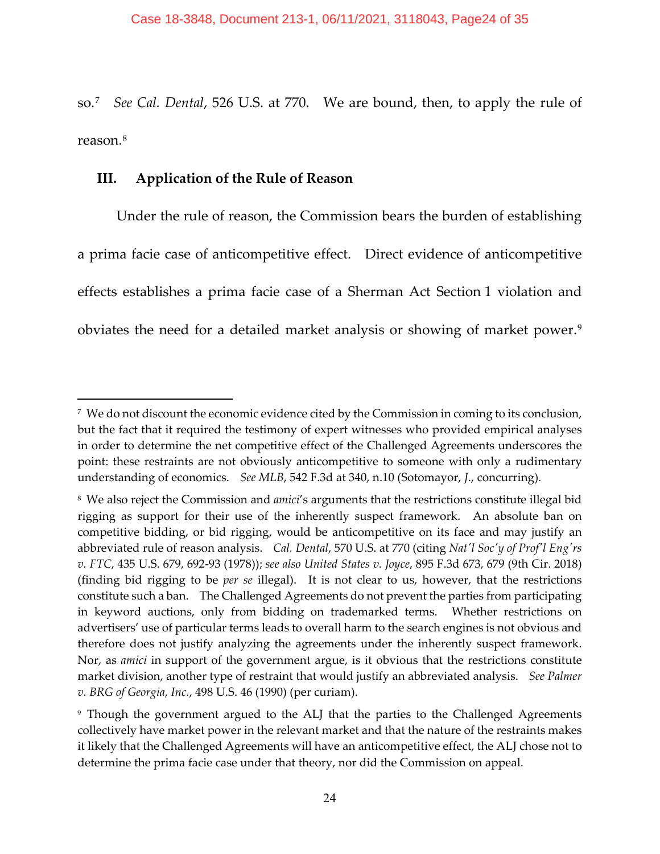so.[7](#page-23-0) *See Cal. Dental*, 526 U.S. at 770. We are bound, then, to apply the rule of reason.[8](#page-23-1)

# **III. Application of the Rule of Reason**

Under the rule of reason, the Commission bears the burden of establishing a prima facie case of anticompetitive effect. Direct evidence of anticompetitive effects establishes a prima facie case of a Sherman Act Section 1 violation and obviates the need for a detailed market analysis or showing of market power.[9](#page-23-2)

<span id="page-23-0"></span><sup>7</sup> We do not discount the economic evidence cited by the Commission in coming to its conclusion, but the fact that it required the testimony of expert witnesses who provided empirical analyses in order to determine the net competitive effect of the Challenged Agreements underscores the point: these restraints are not obviously anticompetitive to someone with only a rudimentary understanding of economics. *See MLB*, 542 F.3d at 340, n.10 (Sotomayor, *J*., concurring).

<span id="page-23-1"></span><sup>8</sup> We also reject the Commission and *amici*'s arguments that the restrictions constitute illegal bid rigging as support for their use of the inherently suspect framework. An absolute ban on competitive bidding, or bid rigging, would be anticompetitive on its face and may justify an abbreviated rule of reason analysis. *Cal. Dental*, 570 U.S. at 770 (citing *Nat'l Soc'y of Prof'l Eng'rs v. FTC*, 435 U.S. 679, 692-93 (1978)); *see also United States v. Joyce*, 895 F.3d 673, 679 (9th Cir. 2018) (finding bid rigging to be *per se* illegal). It is not clear to us, however, that the restrictions constitute such a ban. The Challenged Agreements do not prevent the parties from participating in keyword auctions, only from bidding on trademarked terms. Whether restrictions on advertisers' use of particular terms leads to overall harm to the search engines is not obvious and therefore does not justify analyzing the agreements under the inherently suspect framework. Nor, as *amici* in support of the government argue, is it obvious that the restrictions constitute market division, another type of restraint that would justify an abbreviated analysis. *See Palmer v. BRG of Georgia*, *Inc.*, 498 U.S. 46 (1990) (per curiam).

<span id="page-23-2"></span><sup>&</sup>lt;sup>9</sup> Though the government argued to the ALJ that the parties to the Challenged Agreements collectively have market power in the relevant market and that the nature of the restraints makes it likely that the Challenged Agreements will have an anticompetitive effect, the ALJ chose not to determine the prima facie case under that theory, nor did the Commission on appeal.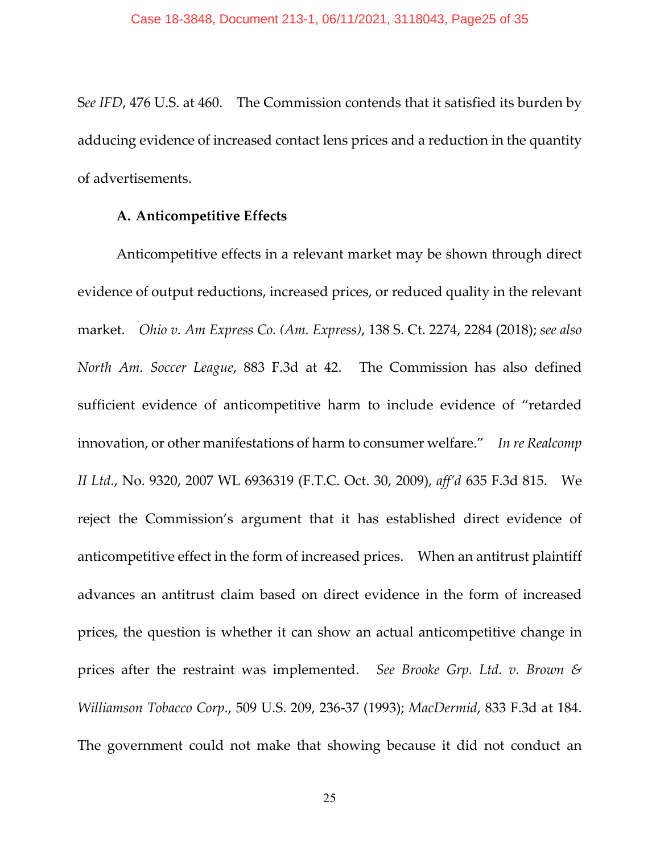S*ee IFD*, 476 U.S. at 460. The Commission contends that it satisfied its burden by adducing evidence of increased contact lens prices and a reduction in the quantity of advertisements.

### **A. Anticompetitive Effects**

Anticompetitive effects in a relevant market may be shown through direct evidence of output reductions, increased prices, or reduced quality in the relevant market. *Ohio v. Am Express Co. (Am. Express)*, 138 S. Ct. 2274, 2284 (2018); *see also North Am. Soccer League*, 883 F.3d at 42. The Commission has also defined sufficient evidence of anticompetitive harm to include evidence of "retarded innovation, or other manifestations of harm to consumer welfare." *In re Realcomp II Ltd.*, No. 9320, 2007 WL 6936319 (F.T.C. Oct. 30, 2009), *aff'd* 635 F.3d 815. We reject the Commission's argument that it has established direct evidence of anticompetitive effect in the form of increased prices. When an antitrust plaintiff advances an antitrust claim based on direct evidence in the form of increased prices, the question is whether it can show an actual anticompetitive change in prices after the restraint was implemented. *See Brooke Grp. Ltd. v. Brown & Williamson Tobacco Corp.*, 509 U.S. 209, 236-37 (1993); *MacDermid*, 833 F.3d at 184. The government could not make that showing because it did not conduct an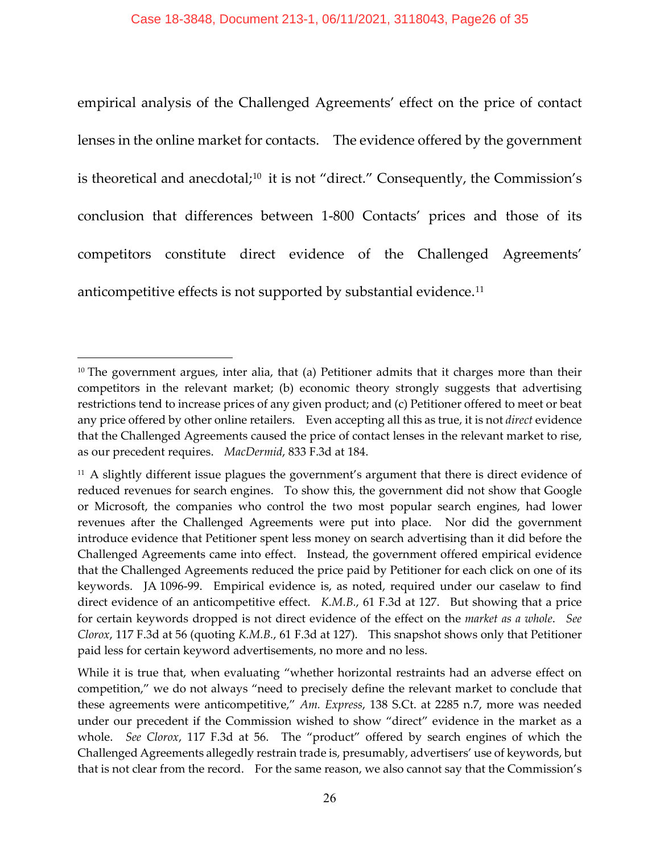empirical analysis of the Challenged Agreements' effect on the price of contact lenses in the online market for contacts. The evidence offered by the government is theoretical and anecdotal;<sup>[10](#page-25-0)</sup> it is not "direct." Consequently, the Commission's conclusion that differences between 1-800 Contacts' prices and those of its competitors constitute direct evidence of the Challenged Agreements' anticompetitive effects is not supported by substantial evidence.[11](#page-25-1)

<span id="page-25-0"></span> $10$  The government argues, inter alia, that (a) Petitioner admits that it charges more than their competitors in the relevant market; (b) economic theory strongly suggests that advertising restrictions tend to increase prices of any given product; and (c) Petitioner offered to meet or beat any price offered by other online retailers. Even accepting all this as true, it is not *direct* evidence that the Challenged Agreements caused the price of contact lenses in the relevant market to rise, as our precedent requires. *MacDermid*, 833 F.3d at 184.

<span id="page-25-1"></span><sup>&</sup>lt;sup>11</sup> A slightly different issue plagues the government's argument that there is direct evidence of reduced revenues for search engines. To show this, the government did not show that Google or Microsoft, the companies who control the two most popular search engines, had lower revenues after the Challenged Agreements were put into place. Nor did the government introduce evidence that Petitioner spent less money on search advertising than it did before the Challenged Agreements came into effect. Instead, the government offered empirical evidence that the Challenged Agreements reduced the price paid by Petitioner for each click on one of its keywords. JA 1096-99. Empirical evidence is, as noted, required under our caselaw to find direct evidence of an anticompetitive effect. *K.M.B.*, 61 F.3d at 127. But showing that a price for certain keywords dropped is not direct evidence of the effect on the *market as a whole*. *See Clorox*, 117 F.3d at 56 (quoting *K.M.B.*, 61 F.3d at 127). This snapshot shows only that Petitioner paid less for certain keyword advertisements, no more and no less.

While it is true that, when evaluating "whether horizontal restraints had an adverse effect on competition," we do not always "need to precisely define the relevant market to conclude that these agreements were anticompetitive," *Am. Express*, 138 S.Ct. at 2285 n.7, more was needed under our precedent if the Commission wished to show "direct" evidence in the market as a whole. *See Clorox*, 117 F.3d at 56. The "product" offered by search engines of which the Challenged Agreements allegedly restrain trade is, presumably, advertisers' use of keywords, but that is not clear from the record. For the same reason, we also cannot say that the Commission's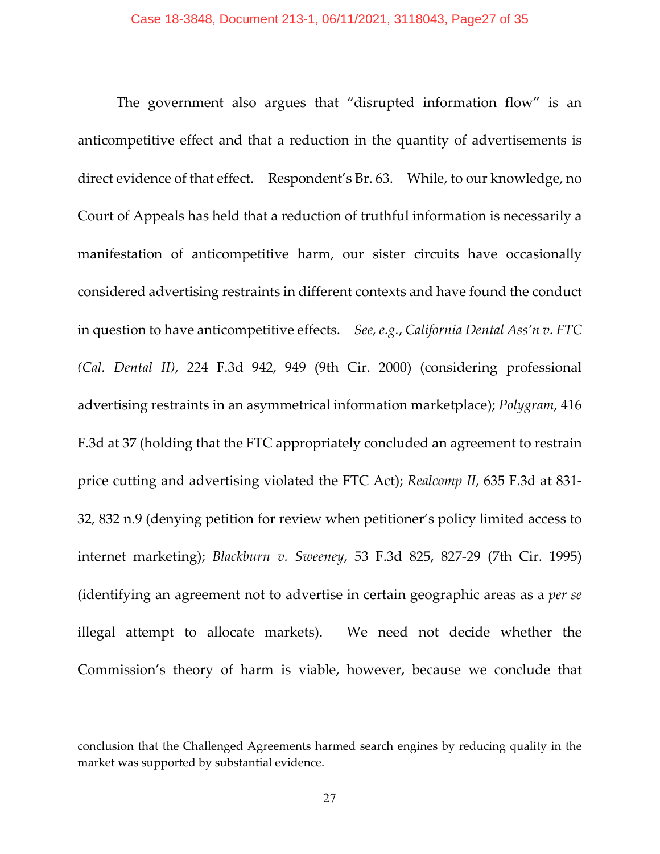The government also argues that "disrupted information flow" is an anticompetitive effect and that a reduction in the quantity of advertisements is direct evidence of that effect. Respondent's Br. 63. While, to our knowledge, no Court of Appeals has held that a reduction of truthful information is necessarily a manifestation of anticompetitive harm, our sister circuits have occasionally considered advertising restraints in different contexts and have found the conduct in question to have anticompetitive effects. *See, e.g.*, *California Dental Ass'n v. FTC (Cal. Dental II)*, 224 F.3d 942, 949 (9th Cir. 2000) (considering professional advertising restraints in an asymmetrical information marketplace); *Polygram*, 416 F.3d at 37 (holding that the FTC appropriately concluded an agreement to restrain price cutting and advertising violated the FTC Act); *Realcomp II*, 635 F.3d at 831- 32, 832 n.9 (denying petition for review when petitioner's policy limited access to internet marketing); *Blackburn v. Sweeney*, 53 F.3d 825, 827-29 (7th Cir. 1995) (identifying an agreement not to advertise in certain geographic areas as a *per se* illegal attempt to allocate markets). We need not decide whether the Commission's theory of harm is viable, however, because we conclude that

conclusion that the Challenged Agreements harmed search engines by reducing quality in the market was supported by substantial evidence.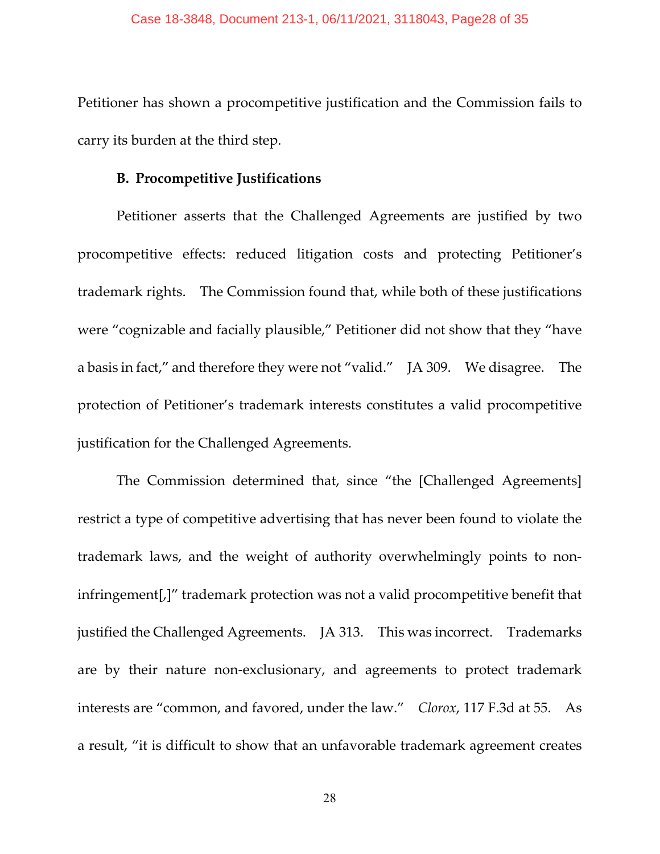Petitioner has shown a procompetitive justification and the Commission fails to carry its burden at the third step.

## **B. Procompetitive Justifications**

Petitioner asserts that the Challenged Agreements are justified by two procompetitive effects: reduced litigation costs and protecting Petitioner's trademark rights. The Commission found that, while both of these justifications were "cognizable and facially plausible," Petitioner did not show that they "have a basis in fact," and therefore they were not "valid." JA 309. We disagree. The protection of Petitioner's trademark interests constitutes a valid procompetitive justification for the Challenged Agreements.

The Commission determined that, since "the [Challenged Agreements] restrict a type of competitive advertising that has never been found to violate the trademark laws, and the weight of authority overwhelmingly points to noninfringement[,]" trademark protection was not a valid procompetitive benefit that justified the Challenged Agreements. JA 313. This was incorrect. Trademarks are by their nature non-exclusionary, and agreements to protect trademark interests are "common, and favored, under the law." *Clorox*, 117 F.3d at 55. As a result, "it is difficult to show that an unfavorable trademark agreement creates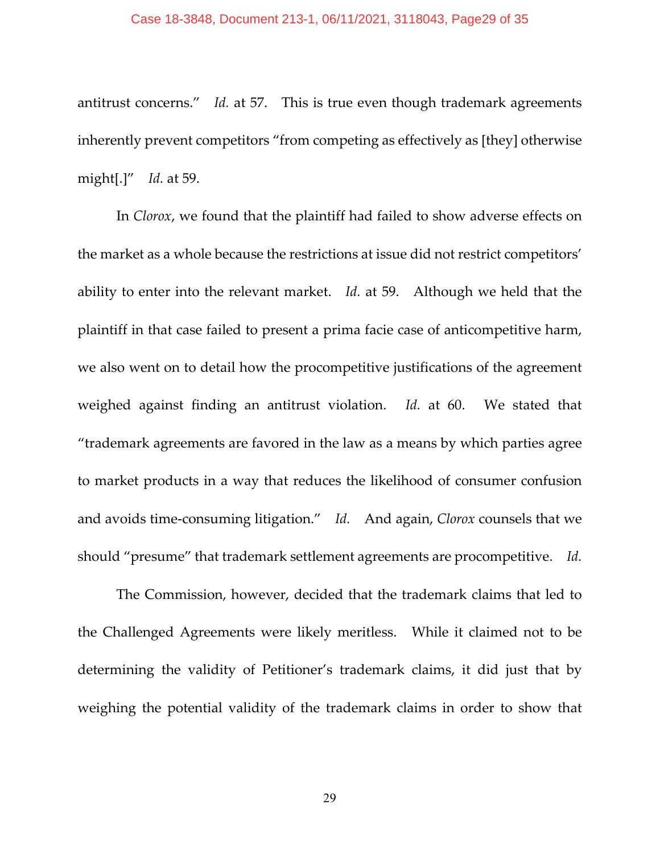#### Case 18-3848, Document 213-1, 06/11/2021, 3118043, Page29 of 35

antitrust concerns." *Id.* at 57. This is true even though trademark agreements inherently prevent competitors "from competing as effectively as [they] otherwise might[.]" *Id.* at 59.

In *Clorox*, we found that the plaintiff had failed to show adverse effects on the market as a whole because the restrictions at issue did not restrict competitors' ability to enter into the relevant market. *Id.* at 59. Although we held that the plaintiff in that case failed to present a prima facie case of anticompetitive harm, we also went on to detail how the procompetitive justifications of the agreement weighed against finding an antitrust violation. *Id.* at 60. We stated that "trademark agreements are favored in the law as a means by which parties agree to market products in a way that reduces the likelihood of consumer confusion and avoids time-consuming litigation." *Id.* And again, *Clorox* counsels that we should "presume" that trademark settlement agreements are procompetitive. *Id.*

The Commission, however, decided that the trademark claims that led to the Challenged Agreements were likely meritless. While it claimed not to be determining the validity of Petitioner's trademark claims, it did just that by weighing the potential validity of the trademark claims in order to show that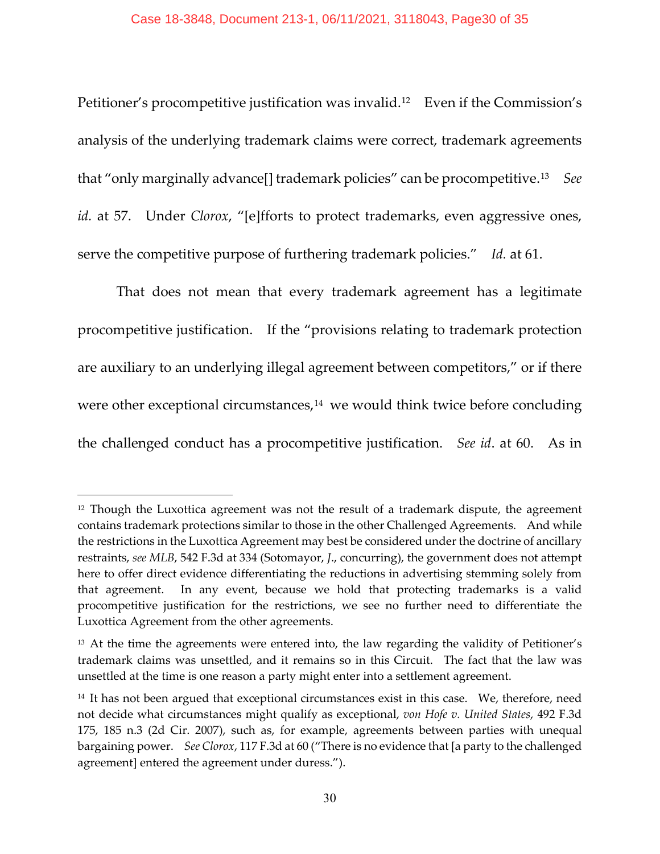Petitioner's procompetitive justification was invalid.<sup>12</sup> Even if the Commission's analysis of the underlying trademark claims were correct, trademark agreements that "only marginally advance[] trademark policies" can be procompetitive.[13](#page-29-1) *See id.* at 57. Under *Clorox*, "[e]fforts to protect trademarks, even aggressive ones, serve the competitive purpose of furthering trademark policies." *Id.* at 61.

That does not mean that every trademark agreement has a legitimate procompetitive justification. If the "provisions relating to trademark protection are auxiliary to an underlying illegal agreement between competitors," or if there were other exceptional circumstances,<sup>[14](#page-29-2)</sup> we would think twice before concluding the challenged conduct has a procompetitive justification. *See id*. at 60. As in

<span id="page-29-0"></span> $12$  Though the Luxottica agreement was not the result of a trademark dispute, the agreement contains trademark protections similar to those in the other Challenged Agreements. And while the restrictions in the Luxottica Agreement may best be considered under the doctrine of ancillary restraints, *see MLB*, 542 F.3d at 334 (Sotomayor, *J*., concurring), the government does not attempt here to offer direct evidence differentiating the reductions in advertising stemming solely from that agreement. In any event, because we hold that protecting trademarks is a valid procompetitive justification for the restrictions, we see no further need to differentiate the Luxottica Agreement from the other agreements.

<span id="page-29-1"></span><sup>&</sup>lt;sup>13</sup> At the time the agreements were entered into, the law regarding the validity of Petitioner's trademark claims was unsettled, and it remains so in this Circuit. The fact that the law was unsettled at the time is one reason a party might enter into a settlement agreement.

<span id="page-29-2"></span><sup>&</sup>lt;sup>14</sup> It has not been argued that exceptional circumstances exist in this case. We, therefore, need not decide what circumstances might qualify as exceptional, *von Hofe v. United States*, 492 F.3d 175, 185 n.3 (2d Cir. 2007), such as, for example, agreements between parties with unequal bargaining power. *See Clorox*, 117 F.3d at 60 ("There is no evidence that [a party to the challenged agreement] entered the agreement under duress.").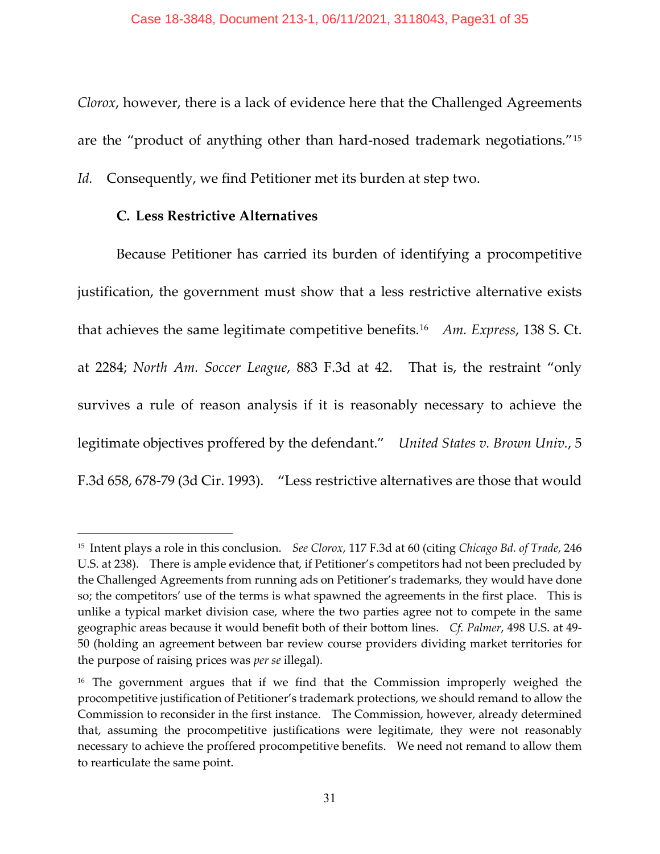*Clorox*, however, there is a lack of evidence here that the Challenged Agreements are the "product of anything other than hard-nosed trademark negotiations."[15](#page-30-0)

*Id.* Consequently, we find Petitioner met its burden at step two.

# **C. Less Restrictive Alternatives**

Because Petitioner has carried its burden of identifying a procompetitive justification, the government must show that a less restrictive alternative exists that achieves the same legitimate competitive benefits.[16](#page-30-1) *Am. Express*, 138 S. Ct. at 2284; *North Am. Soccer League*, 883 F.3d at 42. That is, the restraint "only survives a rule of reason analysis if it is reasonably necessary to achieve the legitimate objectives proffered by the defendant." *United States v. Brown Univ.*, 5 F.3d 658, 678-79 (3d Cir. 1993). "Less restrictive alternatives are those that would

<span id="page-30-0"></span><sup>15</sup> Intent plays a role in this conclusion. *See Clorox*, 117 F.3d at 60 (citing *Chicago Bd. of Trade*, 246 U.S. at 238). There is ample evidence that, if Petitioner's competitors had not been precluded by the Challenged Agreements from running ads on Petitioner's trademarks, they would have done so; the competitors' use of the terms is what spawned the agreements in the first place. This is unlike a typical market division case, where the two parties agree not to compete in the same geographic areas because it would benefit both of their bottom lines. *Cf. Palmer*, 498 U.S. at 49- 50 (holding an agreement between bar review course providers dividing market territories for the purpose of raising prices was *per se* illegal).

<span id="page-30-1"></span><sup>&</sup>lt;sup>16</sup> The government argues that if we find that the Commission improperly weighed the procompetitive justification of Petitioner's trademark protections, we should remand to allow the Commission to reconsider in the first instance. The Commission, however, already determined that, assuming the procompetitive justifications were legitimate, they were not reasonably necessary to achieve the proffered procompetitive benefits. We need not remand to allow them to rearticulate the same point.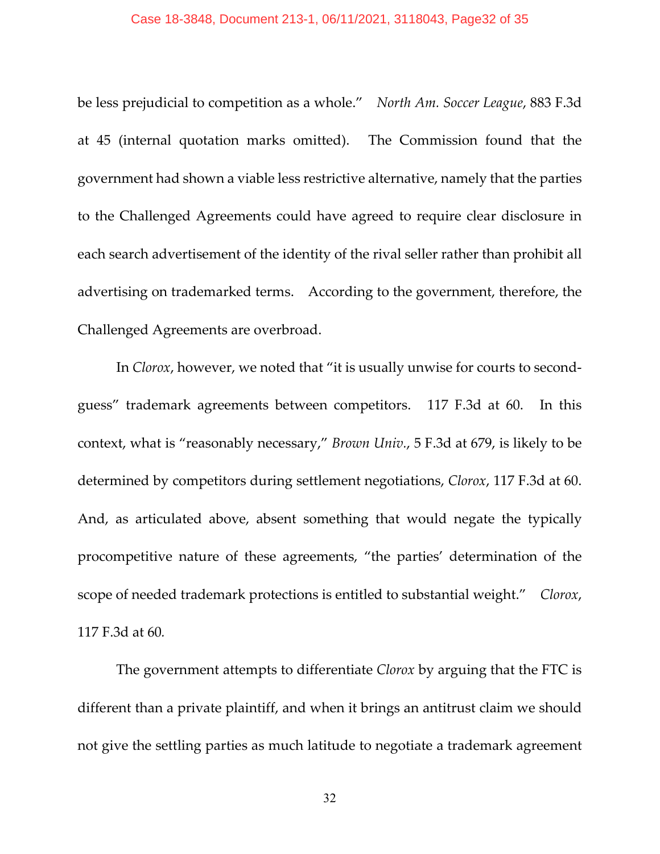#### Case 18-3848, Document 213-1, 06/11/2021, 3118043, Page32 of 35

be less prejudicial to competition as a whole." *North Am. Soccer League*, 883 F.3d at 45 (internal quotation marks omitted). The Commission found that the government had shown a viable less restrictive alternative, namely that the parties to the Challenged Agreements could have agreed to require clear disclosure in each search advertisement of the identity of the rival seller rather than prohibit all advertising on trademarked terms. According to the government, therefore, the Challenged Agreements are overbroad.

In *Clorox*, however, we noted that "it is usually unwise for courts to secondguess" trademark agreements between competitors. 117 F.3d at 60. In this context, what is "reasonably necessary," *Brown Univ.*, 5 F.3d at 679, is likely to be determined by competitors during settlement negotiations, *Clorox*, 117 F.3d at 60. And, as articulated above, absent something that would negate the typically procompetitive nature of these agreements, "the parties' determination of the scope of needed trademark protections is entitled to substantial weight." *Clorox*, 117 F.3d at 60*.*

The government attempts to differentiate *Clorox* by arguing that the FTC is different than a private plaintiff, and when it brings an antitrust claim we should not give the settling parties as much latitude to negotiate a trademark agreement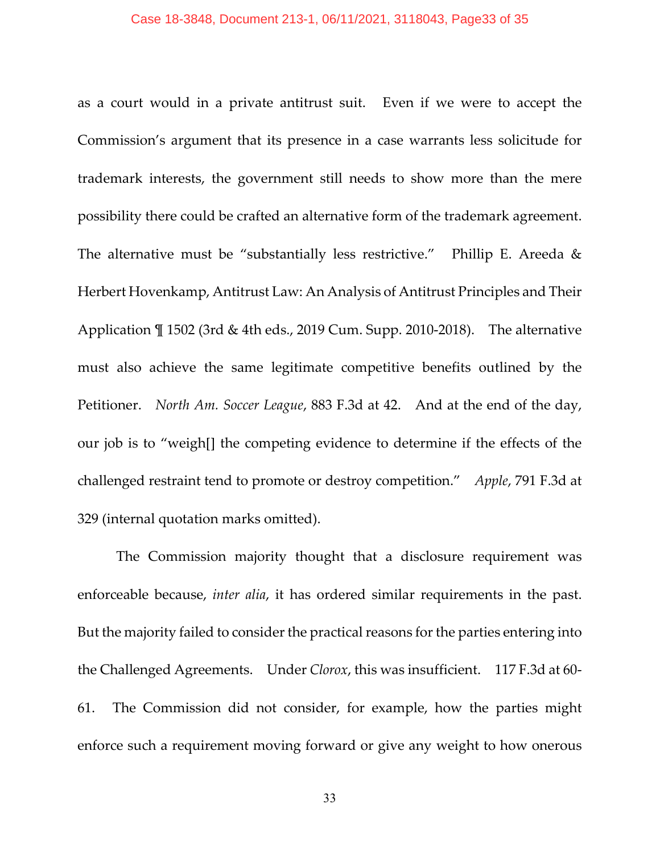#### Case 18-3848, Document 213-1, 06/11/2021, 3118043, Page33 of 35

as a court would in a private antitrust suit. Even if we were to accept the Commission's argument that its presence in a case warrants less solicitude for trademark interests, the government still needs to show more than the mere possibility there could be crafted an alternative form of the trademark agreement. The alternative must be "substantially less restrictive." Phillip E. Areeda & Herbert Hovenkamp, Antitrust Law: An Analysis of Antitrust Principles and Their Application ¶ 1502 (3rd & 4th eds., 2019 Cum. Supp. 2010-2018). The alternative must also achieve the same legitimate competitive benefits outlined by the Petitioner. *North Am. Soccer League*, 883 F.3d at 42. And at the end of the day, our job is to "weigh[] the competing evidence to determine if the effects of the challenged restraint tend to promote or destroy competition." *Apple*, 791 F.3d at 329 (internal quotation marks omitted).

The Commission majority thought that a disclosure requirement was enforceable because, *inter alia*, it has ordered similar requirements in the past. But the majority failed to consider the practical reasons for the parties entering into the Challenged Agreements. Under *Clorox*, this was insufficient. 117 F.3d at 60- 61. The Commission did not consider, for example, how the parties might enforce such a requirement moving forward or give any weight to how onerous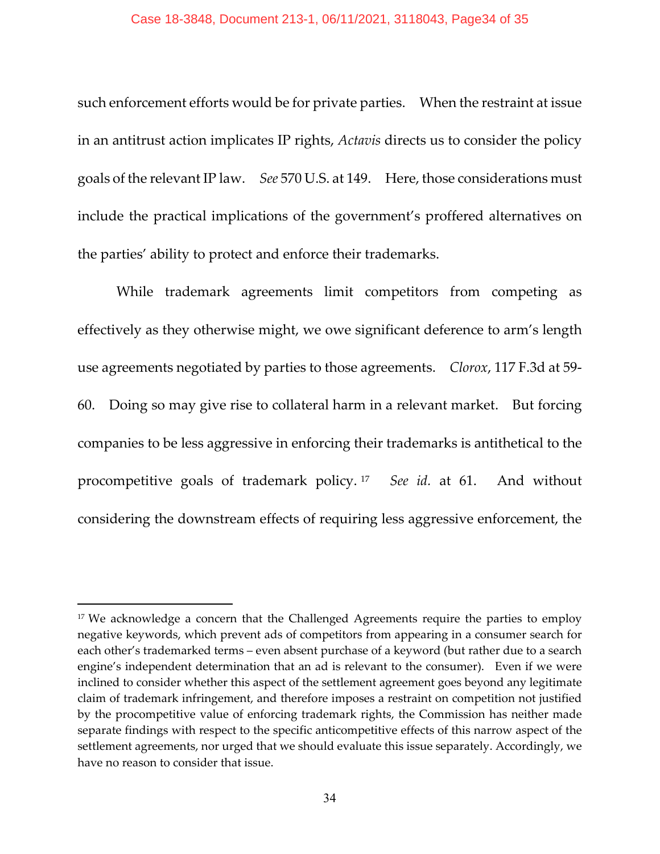#### Case 18-3848, Document 213-1, 06/11/2021, 3118043, Page34 of 35

such enforcement efforts would be for private parties. When the restraint at issue in an antitrust action implicates IP rights, *Actavis* directs us to consider the policy goals of the relevant IP law. *See* 570 U.S. at 149. Here, those considerations must include the practical implications of the government's proffered alternatives on the parties' ability to protect and enforce their trademarks.

While trademark agreements limit competitors from competing as effectively as they otherwise might, we owe significant deference to arm's length use agreements negotiated by parties to those agreements. *Clorox*, 117 F.3d at 59- 60. Doing so may give rise to collateral harm in a relevant market. But forcing companies to be less aggressive in enforcing their trademarks is antithetical to the procompetitive goals of trademark policy. [17](#page-33-0) *See id.* at 61. And without considering the downstream effects of requiring less aggressive enforcement, the

<span id="page-33-0"></span><sup>&</sup>lt;sup>17</sup> We acknowledge a concern that the Challenged Agreements require the parties to employ negative keywords, which prevent ads of competitors from appearing in a consumer search for each other's trademarked terms – even absent purchase of a keyword (but rather due to a search engine's independent determination that an ad is relevant to the consumer). Even if we were inclined to consider whether this aspect of the settlement agreement goes beyond any legitimate claim of trademark infringement, and therefore imposes a restraint on competition not justified by the procompetitive value of enforcing trademark rights, the Commission has neither made separate findings with respect to the specific anticompetitive effects of this narrow aspect of the settlement agreements, nor urged that we should evaluate this issue separately. Accordingly, we have no reason to consider that issue.